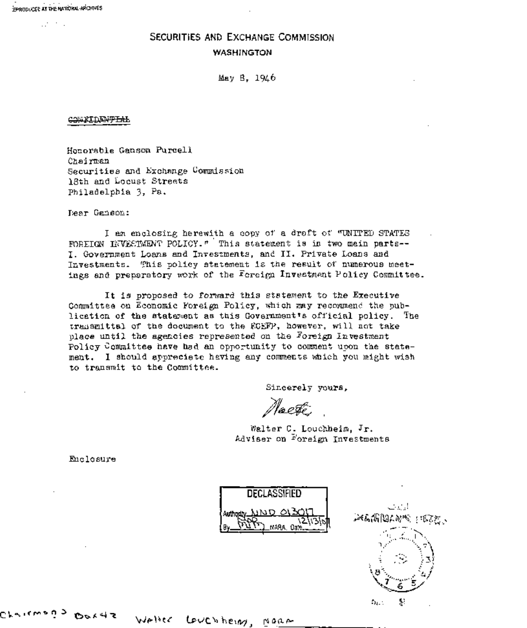$B$  -  $B$   $C$   $D$   $C$   $C$   $C$   $C$   $D$   $C$   $C$   $D$   $C$   $C$   $D$   $C$   $C$   $D$   $C$   $C$   $D$   $C$   $C$   $D$   $C$   $C$   $D$   $C$   $C$   $D$   $C$   $C$   $D$   $C$   $C$   $D$   $C$   $C$   $D$   $C$   $C$   $D$   $C$   $D$   $C$   $D$   $C$   $D$   $C$   $D$   $C$   $D$   $C$   $D$   $C$ 

 $\mathbb{R}^{n_1 \times n_2 \times n_3}$  .

**SECURITIES AND EXCHANGE COMMISSION** 

**WASHINGTON** 

May 8, 1946

**COMEIDENTIAL** 

Honorable Ganson Purcell Chairman Securities and Exchange Commission 18th and Locust Streets Philadelphia 3, Pa.

Dear Ganson:

I am enclosing herewith a copy of a draft of "UNITED STATES FOREIGN INVESTMENT POLICY." This statement is in two main parts--I. Government Loans and Investments, and II. Private Loans and Investments. This policy statement is the result of numerous meetings and preparatory work of the Foreign Investment Policy Committee.

It is proposed to forward this statement to the Executive Committee on Economic Foreign Policy, which may recommend the publication of the statement as this Government's official policy. The transmittal of the document to the ECEFP, however, will not take place until the agencies represented on the Foreign Investment Policy Committee have had an opportunity to comment upon the statement. I should appreciete having any comments which you might wish to transmit to the Committee.

Sincerely yours,

leeste.

Walter C. Louchheim, Jr. Adviser on Foreign Investments

Enclosure

 **DECLASSIFIED NASA** 



Crairwada Peride

Walter Couchheing.

NORA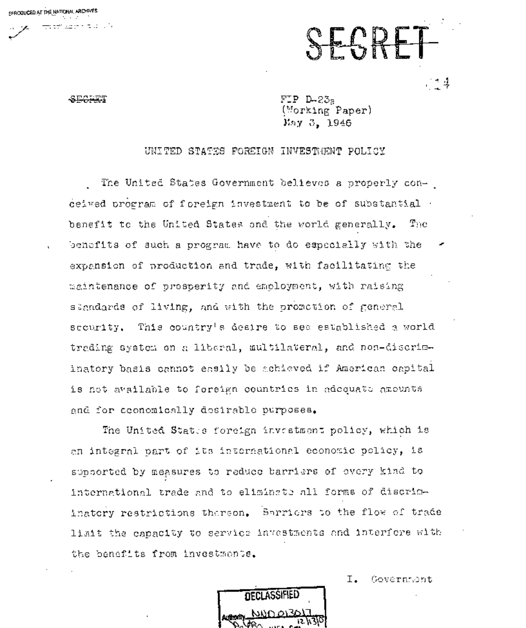SECTION

.<br>Fa trí alban notas (19

EFACTUCED AT THE NATIONAL ARCHIVES

FIP D-235 (Morking Paper) May 3, 1946

SEGRET

 $\rightarrow$  4

## UNITED STATES FOREIGN INVESTMENT POLICY

The United States Government believes a properly conceived program of foreign investment to be of substantial benefit to the United States and the world generally.  $\mathbf{T}_{\mathrm{DC}}$ benefits of such a program have to do especially with the expansion of production and trade, with facilitating the maintenance of prosperity and emoloyment, with raising standards of living, and with the promotion of general This country's dealre to see established a world security. trading system on a liberal, multilateral, and non-discriminatory basis cannot easily be achieved if American capital is not available to foreign countries in adequate amounts and for economically desirable purposes.

The United States foreign investment policy, which is an integral part of its international economic policy, is supported by measures to reduce barriers of overy kind to international trade and to eliminate all forms of discriminatory restrictions thereon. Sarriers to the flow of trade limit the capacity to service investments and interfore with the benefits from investments.

**DECLASSIFIED** Au<mark>s</mark>hority.

Ι. Government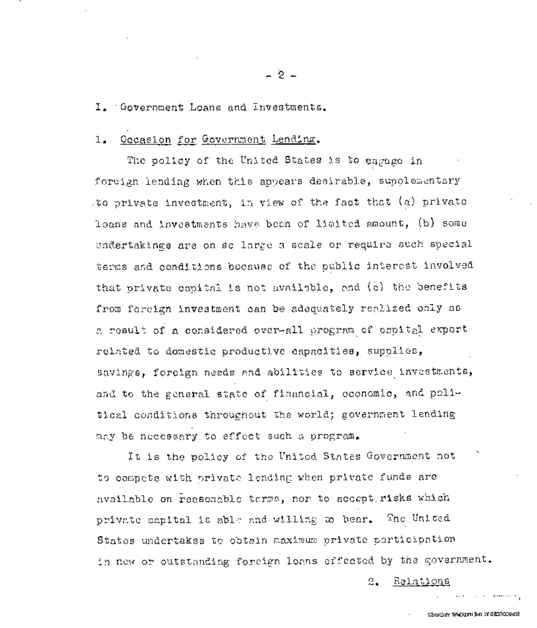I. Government Loans and investments.

# 1. Occasion for Government Lending.

The policy of the United States is to engage in foreign lending when this appears desirable, supplementary to private investment, in view of the fact that (a) private loans and investments have been of limited amount, (b) some undertakings are on so large a scale or require such special terms and conditions because of the public interest involved that private capital is not available, and (e) the benefits from foreign investment can be adequately realized only as a result of a considered over-all program of capital export related to domestic productive capacities, supplies, savings, foreign needs and abilities to service investments, and to the general state of financial, economic, and political conditions throughout the world; government lending may be necessary to effect such a program.

It is the policy of the United States Government not " to compete with private lending when private funds are available on reasonable terms, nor to accept risks which private capital is able and willing ~o bear. The United States undertakes to obtain maximum private porticipation in now or outstanding foreign loans effected by the government.

2. Relations

 $-2-$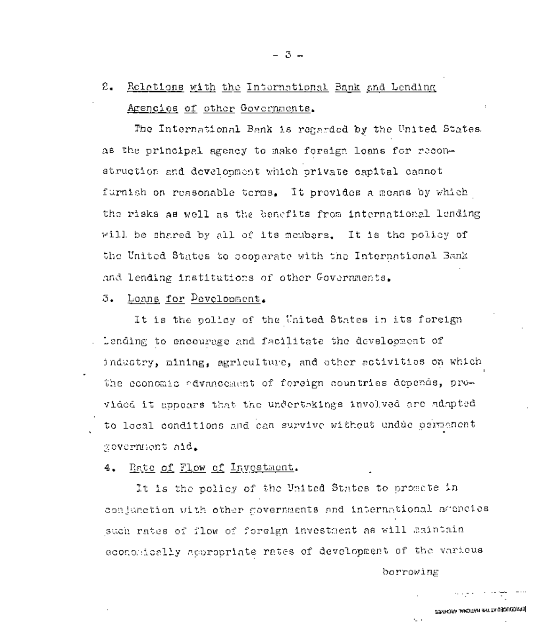# $2.$ Relations with the International Bank and Lending Agencies of other Governments.

The International Bank is regarded by the United States as the principal agency to make foreign loans for reconstruction and development which private eapital cannot furnish on reasonable terms. It provides a means by which the risks as well as the benefits from international lending will be shared by all of its members. It is the policy of the United States to scoparate with the International Bank and lending institutions of other Governments.

Loans for Pevelopment. 3.

It is the policy of the United States in its foreign . Lending to encourage and facilitate the development of industry, mining, agriculture, and other setivities on which the coonomic advancement of foreign countries depends, provided it appears that the undertakings involved are adapted to local conditions and can survive without undue germanent government aid.

Rate of Flow of Investment. 4.

It is the policy of the United States to promete in conjunction with other governments and international agencies such rates of flow of foreign investment as will amintain economically appropriate rates of development of the various

borrowing

s.

EPACONA LAMOTAN 3-5 TA 030U00693

الحدادات الجلوبية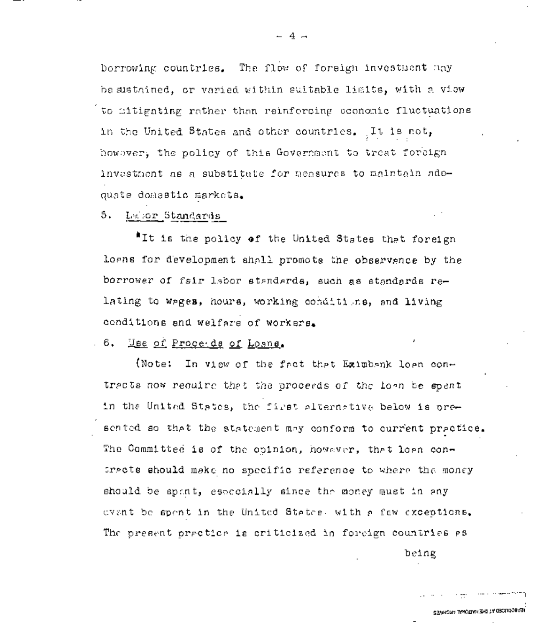borrowing countries. The flow of foreign investment may be sustained, or varied within suitable limits, with a view to aitigating rather than reinforcing economic fluctuations in the United States and other countries. It is not, however, the policy of this Government to treat foreign investment as a substitute for measures to maintain adequate domastic markets.

### 5. Lebor Standards

"It is the policy of the United States that foreign logns for development shall promote the observance by the borrower of fsir labor standards, such as standards relating to wages, hours, working conditions, and living conditions and welfare of workers.

### . 6. Hee of Proceeds of Losns.

(Note: In view of the fact that Eximbank loan contracts now require that the proceeds of the loan be spent in the United States, the first alternative below is oresented so that the statement may conform to current practice. The Committed is of the opinion, however, that loan consracts should make no specific reference to where the money should be spant, especially since the money must in any event be spent in the United States, with a few exceptions. The present practice is criticized in foreign countries as

being

 $-4 -$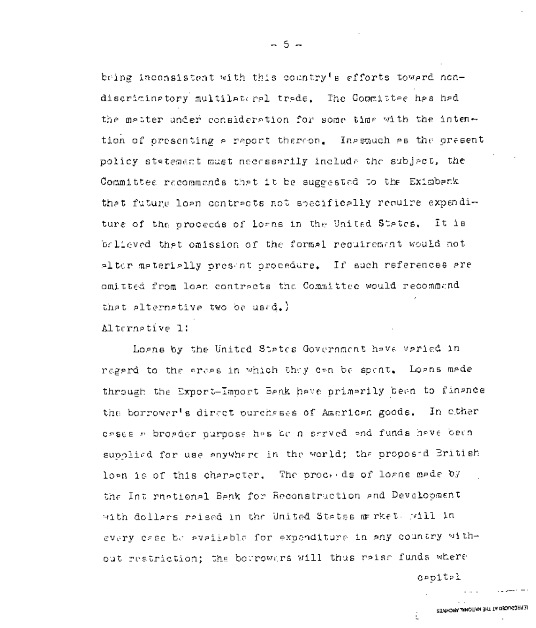bring inconsistent with this country's efforts toward nondiscriminatory multilateral trade. The Committee has had the mester under consideration for some time with the intention of presenting a report thereon. Inaspuch as the present policy statement must necessarily include the subject, the Committee recommends that it be suggested to the Eximback that future loan contracts not specifically require expenditure of the proceeds of losns in the United States. Īt ів brileved that omission of the formal requirement would not alter materially present procedure. If such references are omitted from loga contracts the Committee would recommand that alternative two be used.)

Alternative 1:

Logns by the United States Government have varied in regard to the areas in which they can be spent. Loans made through the Export-Import Benk have primarily been to finance the borrower's direct ourchases of American goods. In other casses a broader purpose has be a served and funds have been supplied for use anywhere in the world; the proposed British lown is of this character. The proceeds of loans made by the Int rustional Benk for Reconstruction and Development with dollars raised in the United States market. Will in every case be available for expenditure in any country without restriction; the borrowers will thus reise funds where

**C**PDITPI

# SEMPLORA WACCLAN SHITTA DECAMPARED

- 5 -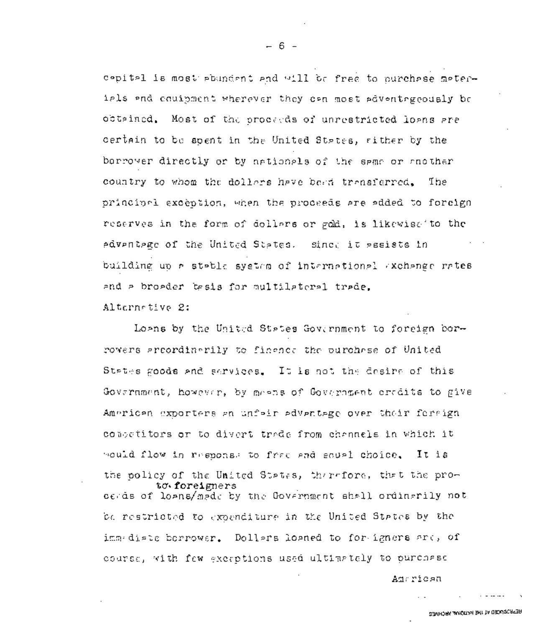cepital is most abundant and will be free to nurchase materials and couipment wherever they can most adventageously be obtained. Most of the proceeds of unrestricted loans are certain to be spent in the United States, wither by the borrover directly or by nationals of the same or another country to whom the dollars have bead transferred. The principal exception, when the proceeds are added to foreign reserves in the form of dollars or gold, is likewise to the edventege of the United States. Since it gesists in building up a stable system of international exchange rates and a broader basis for multilateral trade. Alternative 2:

 $-6 -$ 

Loans by the United States Government to foreign borrowers areordinarily to finance the purchase of United States goods and services. It is not the desire of this Govarnment, however, by means of Government credits to give American exporters an unfair advantage over their forsign consetitors or to divert trade from channels in which it mould flow in response to free and sough choice, Iτ is the policy of the United States, therefore, that the proto foreigners cerds of loans/made by the Government shall ordinarily not be restricted to expenditure in the United States by the immediate borrowar. Dollars loaned to for igners ard, of course, with few exerptions used ultimately to purchase

American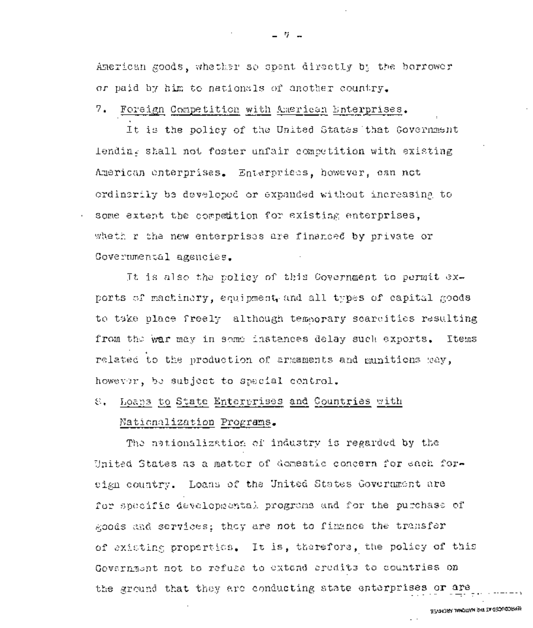American goods, whether so opent directly by the borrower or paid by him to nationals of another country.

7. Foreign Competition with American Enterprises.

It is the policy of the United States that Government lending shall not foster unfair competition with existing American enterprises. Enterprises, however, can not ordinarily be developed or expanded without increasing to some extent the competition for existing enterprises, wheth r the new enterprises are financed by private or Covernmental agencies.

It is also the policy of this Covernment to permit exports of machinery, equipment, and all types of capital goods to take place freely although temsorary scarcities resulting from the war may in some instances delay such exports. Items related to the production of armaments and munitions may, however, be subject to special control.

Loans to State Enterprises and Countries with €.

### Nationalization Programs.

The nationalization of industry is regarded by the United States as a matter of domestic concern for each foreign country. Loans of the United States Government are for specific developmental progrems and for the purchase of goods and services; they are not to finance the transfer of existing properties. It is, therefore, the policy of this Government not to refuse to extend credits to countries on the ground that they are conducting state enterprises or are

SEARCRACED AT NATIONAL ARCHESTS.

 $\sim$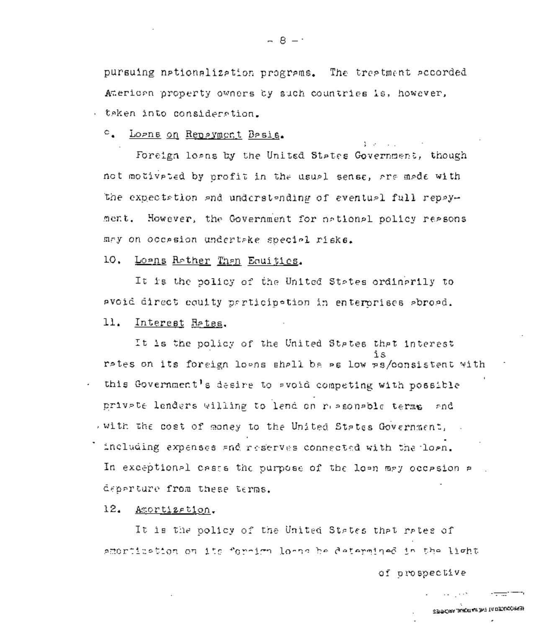pursuing nationalization programs. The treatment accorded Ateriorn property owners by such countries is, however, - teken into consideration.

<sup>c</sup>. Logns on Repayment Besis.

Foreign losns by the United States Government, though not motiveted by profit in the usual sense, are made with the expectation and understanding of eventual full repayment. However, the Government for national policy reasons may on occasion undertake special risks.

10. Losns Rether Than Equities.

It is the policy of the United States ordinarily to avoid direct coulty participation in enterorises abroad.

### 11. Interest Retes.

It is the policy of the United States that interest rates on its foreign loans shall be as low as/consistent with this Government's desire to svoid competing with possible private lenders willing to lend on reasonable terms and with the cost of money to the United States Government, . including expenses and reserves connected with the loan. In exceptional cases the purpose of the loan may occasion a deperture from these terms.

 $12.$ Amertization.

It is the policy of the United States that rates of ameritiation on its ferrirn lerge ha datarmined in the light.

of prospective

SEARCHN TAROLLAIL BAT IA DEOLOGOREEN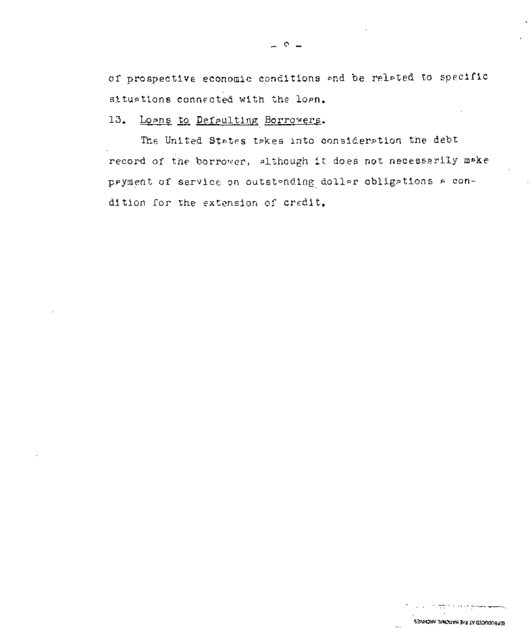of prospective economic conditions and be related to specific situations connected with the loan.

Loans to Defaulting Borrowers. 13.

The United States takes into consideration the debt record of the borrower, although it does not necessarily make payment of service on outstanding dollar obligations a condition for the extension of credit,

 $\overline{a}$ 

SEMACHING THE RIVING WARD VECTORS?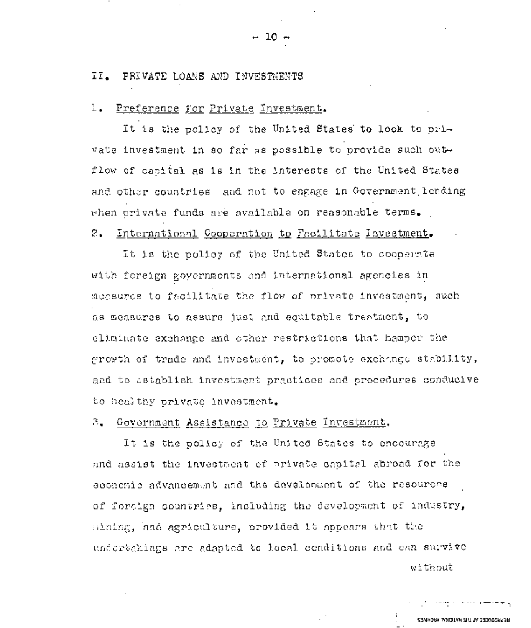### II. PRIVATE LOANS AND INVESTMENTS

### Preference for Private Investment. ı.

It is the policy of the United States to look to private investment in so far as possible to provide such outflow of canital as is in the interests of the United States and other countries and not to engage in Government lending when private funds are available on reasonable terms.

# 2. International Cooperation to Facilitate Investment.

It is the policy of the United States to cooperate with fereign governments and international agencies in measures to facilitate the flow of private investment, such as measures to assure just and equitable trantment, to eliminate exchange and other restrictions that hamper the growth of trade and investment, to promote exchange stability, and to satablish investment practices and procedures conducive to healthy private investment.

### З. Government Assistance to Private Investment.

It is the policy of the United States to encourage and assist the investment of private capital abroad for the economic advancement and the development of the resourche of forcign countries, including the development of industry, mining, and agriculture, provided it appears that the undertakings are adapted to local cenditions and ean survive

without

والتهاب فسنفاص المحمد فردان والمومات

REPRODUCED AT THE NATIONAL ARCHAES.

## $-10 -$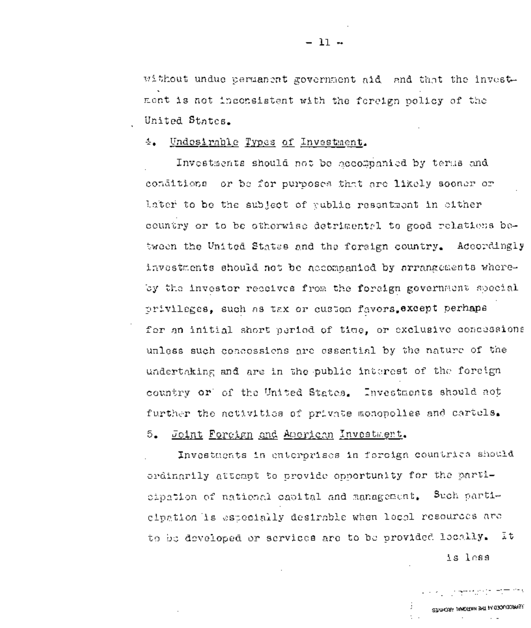without undue permanent government aid and that the investment is not inconsistent with the foreign policy of the United States.

### 4. Undesirable Types of Investment.

Investments should not be accompanied by terms and conditions or be for purposes that are likely sooner or later to be the subject of vublic resentment in either country or to be otherwise detrimental to good relations between the United States and the foreign country. Accordingly investments should not be accompanied by arrangements whereby the investor recoives from the foreign government special privileges, such as tax or custom favors except perhaps for an initial short period of time, or exclusive concessions unless such concossions are essential by the nature of the undertaking and are in the public interest of the foreign country or of the United States. Investments should not further the activities of private monopolies and cartels.

### Joint Foreign and American Investment. 5.

Investments in enterprises in foreign countries should ordinarily attempt to provide opportunity for the partieipation of national capital and management. Such participation is especially desirable when local resources are to be developed or services are to be provided locally. It is less

STARTAL JANDITAH 34T IA 0300/000955.

**Service** in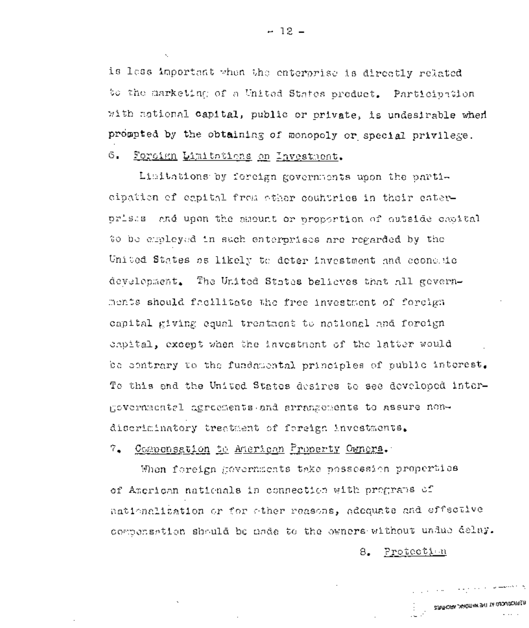is less important when the enterprise is directly related to the marketing of a United States product. Participation with national capital, public or private, is undesirable when prompted by the obtaining of monopoly or special privilege. 6. Foreign Limitations on Investment.

Limitations by foreign governments upon the participation of espital from other countries in their eaterprises and upon the mapuat or proportion of outside capital to be employed in such enterorises are regarded by the United States as likely to deter investment and economic development. The United States believes that all governments should facilitate the free investment of forcign capital giving equal treataent to national and foreign capital, except when the investment of the latter would be contrary to the fundamental principles of public interest. To this and the United States desires to see developed intergovernmental agreements and arrangements to assure nondiscriminatory treatment of foreign investments.

7. Componsation to American Property Comers.

When foreign governments take possession properties of American nationals in connection with programs of nationalization or for other reasons, adequate and effective compensation should be nade to the owners without undue delay.

> 8. Protection

> > وللمستشرع والمواليق والمتناقص والرابي

**REPRODUCED IN THE NATURAL ARCHIVES** 

 $-12-$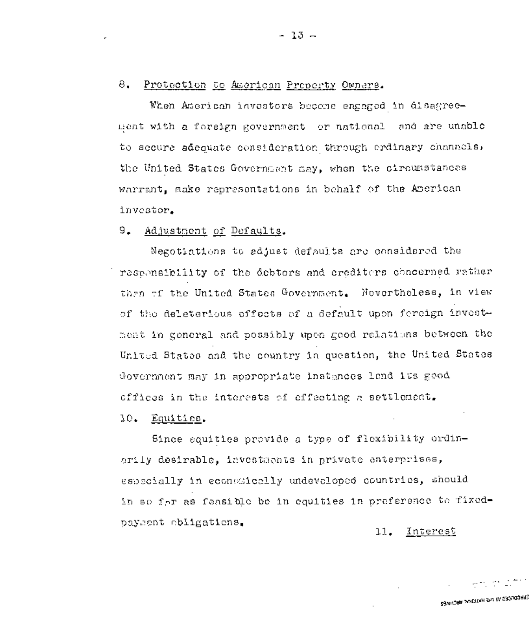# 8. Protection to American Property Owners.

When American investors become engaged in disagreement with a foreign government or national and abe unable to secure sdequate consideration through ordinary channels, She United States Government may, when the circumstances warrant, make representations in behalf of the American investor.

# 9. Adjustment of Defaults.

Negotiations to adjust defaults arc considered the responsibility of the debtors and creditors concerned rather then of the United States Government. Nevertheless, in view of the deleterious effects of a default upon foreign investment in general and possibly upon good relations between the United States and the country in question, the United States Government may in appropriate instances lend its good offices in the interests of effecting a settlement.

# I0. Equities.

Since equities provide a type of flexibility ordinarily desirable, investments in private enterprises, especially in economically undevoloped countries, should in so for as feasible be in equities in preference to fixedpayment obligations.

I!. Interest

Sevirona waditay ah in geologiya

ಕ್ಷಣ ಪರಿ